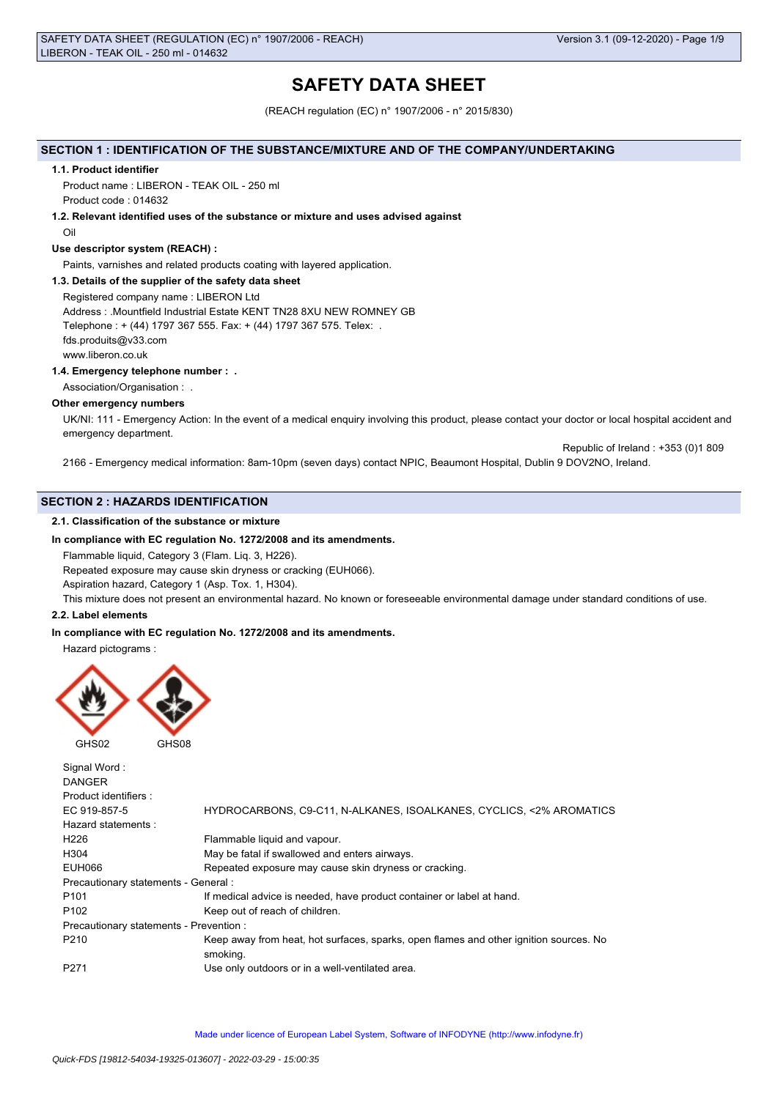# **SAFETY DATA SHEET**

(REACH regulation (EC) n° 1907/2006 - n° 2015/830)

# **SECTION 1 : IDENTIFICATION OF THE SUBSTANCE/MIXTURE AND OF THE COMPANY/UNDERTAKING**

#### **1.1. Product identifier**

Product name : LIBERON - TEAK OIL - 250 ml Product code : 014632

**1.2. Relevant identified uses of the substance or mixture and uses advised against**

Oil

# **Use descriptor system (REACH) :**

Paints, varnishes and related products coating with layered application.

# **1.3. Details of the supplier of the safety data sheet**

Registered company name : LIBERON Ltd Address : .Mountfield Industrial Estate KENT TN28 8XU NEW ROMNEY GB Telephone : + (44) 1797 367 555. Fax: + (44) 1797 367 575. Telex: . fds.produits@v33.com www.liberon.co.uk

# **1.4. Emergency telephone number : .**

Association/Organisation :

# **Other emergency numbers**

UK/NI: 111 - Emergency Action: In the event of a medical enquiry involving this product, please contact your doctor or local hospital accident and emergency department.

 Republic of Ireland : +353 (0)1 809 2166 - Emergency medical information: 8am-10pm (seven days) contact NPIC, Beaumont Hospital, Dublin 9 DOV2NO, Ireland.

# **SECTION 2 : HAZARDS IDENTIFICATION**

# **2.1. Classification of the substance or mixture**

# **In compliance with EC regulation No. 1272/2008 and its amendments.**

Flammable liquid, Category 3 (Flam. Liq. 3, H226).

Repeated exposure may cause skin dryness or cracking (EUH066).

Aspiration hazard, Category 1 (Asp. Tox. 1, H304).

This mixture does not present an environmental hazard. No known or foreseeable environmental damage under standard conditions of use.

# **2.2. Label elements**

# **In compliance with EC regulation No. 1272/2008 and its amendments.**

Hazard pictograms :



| Signal Word:<br><b>DANGER</b>           |                                                                                                   |
|-----------------------------------------|---------------------------------------------------------------------------------------------------|
| Product identifiers :                   |                                                                                                   |
| EC 919-857-5                            | HYDROCARBONS, C9-C11, N-ALKANES, ISOALKANES, CYCLICS, <2% AROMATICS                               |
| Hazard statements:                      |                                                                                                   |
| H <sub>226</sub>                        | Flammable liquid and vapour.                                                                      |
| H304                                    | May be fatal if swallowed and enters airways.                                                     |
| EUH066                                  | Repeated exposure may cause skin dryness or cracking.                                             |
| Precautionary statements - General :    |                                                                                                   |
| P <sub>101</sub>                        | If medical advice is needed, have product container or label at hand.                             |
| P <sub>102</sub>                        | Keep out of reach of children.                                                                    |
| Precautionary statements - Prevention : |                                                                                                   |
| P <sub>210</sub>                        | Keep away from heat, hot surfaces, sparks, open flames and other ignition sources. No<br>smoking. |
| P <sub>271</sub>                        | Use only outdoors or in a well-ventilated area.                                                   |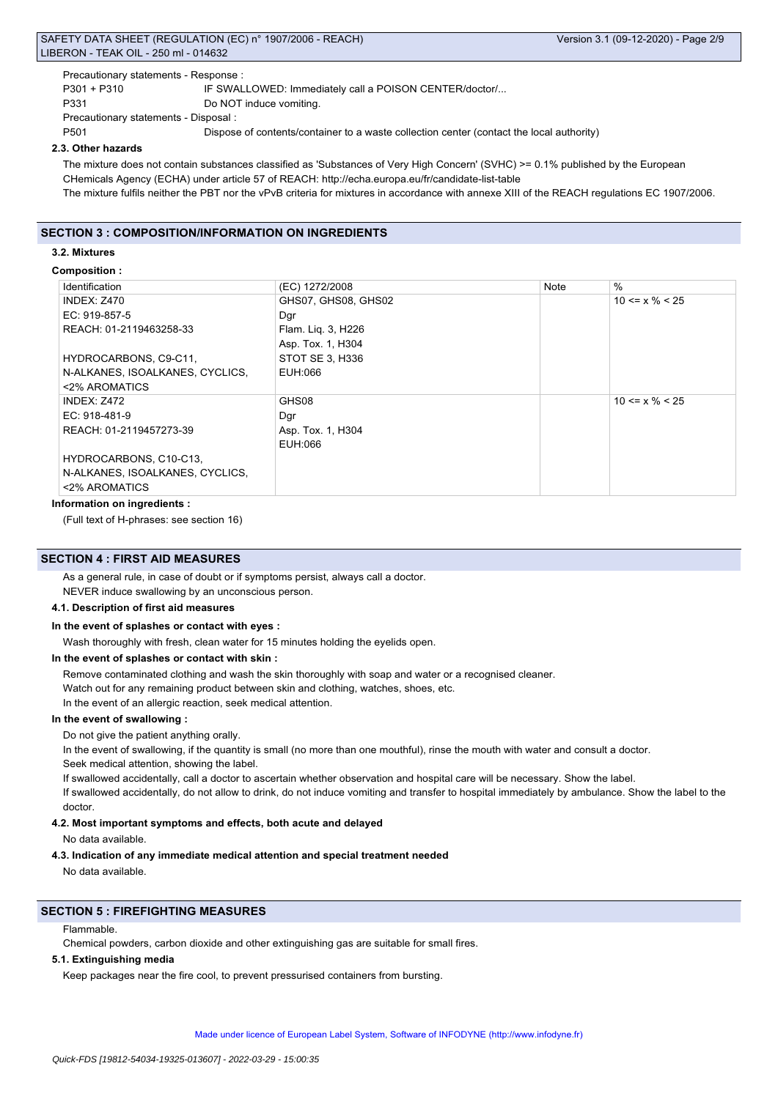# SAFETY DATA SHEET (REGULATION (EC) n° 1907/2006 - REACH) Version 3.1 (09-12-2020) - Page 2/9 LIBERON - TEAK OIL - 250 ml - 014632

Precautionary statements - Response :

P301 + P310 IF SWALLOWED: Immediately call a POISON CENTER/doctor/...

P331 Do NOT induce vomiting.

Precautionary statements - Disposal :

P501 Dispose of contents/container to a waste collection center (contact the local authority)

# **2.3. Other hazards**

The mixture does not contain substances classified as 'Substances of Very High Concern' (SVHC) >= 0.1% published by the European CHemicals Agency (ECHA) under article 57 of REACH: http://echa.europa.eu/fr/candidate-list-table The mixture fulfils neither the PBT nor the vPvB criteria for mixtures in accordance with annexe XIII of the REACH regulations EC 1907/2006.

# **SECTION 3 : COMPOSITION/INFORMATION ON INGREDIENTS**

# **3.2. Mixtures**

# **Composition :**

| Identification                  | (EC) 1272/2008      | <b>Note</b> | $\%$                 |
|---------------------------------|---------------------|-------------|----------------------|
| <b>INDEX: Z470</b>              | GHS07, GHS08, GHS02 |             | $10 \le x \% \le 25$ |
| EC: 919-857-5                   | Dgr                 |             |                      |
| REACH: 01-2119463258-33         | Flam. Lig. 3, H226  |             |                      |
|                                 | Asp. Tox. 1, H304   |             |                      |
| HYDROCARBONS, C9-C11,           | STOT SE 3, H336     |             |                      |
| N-ALKANES, ISOALKANES, CYCLICS, | EUH:066             |             |                      |
| <2% AROMATICS                   |                     |             |                      |
| INDEX: Z472                     | GHS08               |             | $10 \le x \% \le 25$ |
| EC: $918-481-9$                 | Dgr                 |             |                      |
| REACH: 01-2119457273-39         | Asp. Tox. 1, H304   |             |                      |
|                                 | EUH:066             |             |                      |
| HYDROCARBONS, C10-C13,          |                     |             |                      |
| N-ALKANES, ISOALKANES, CYCLICS, |                     |             |                      |
| <2% AROMATICS                   |                     |             |                      |

# **Information on ingredients :**

(Full text of H-phrases: see section 16)

# **SECTION 4 : FIRST AID MEASURES**

As a general rule, in case of doubt or if symptoms persist, always call a doctor. NEVER induce swallowing by an unconscious person.

#### **4.1. Description of first aid measures**

#### **In the event of splashes or contact with eyes :**

Wash thoroughly with fresh, clean water for 15 minutes holding the eyelids open.

#### **In the event of splashes or contact with skin :**

Remove contaminated clothing and wash the skin thoroughly with soap and water or a recognised cleaner.

Watch out for any remaining product between skin and clothing, watches, shoes, etc.

In the event of an allergic reaction, seek medical attention.

# **In the event of swallowing :**

Do not give the patient anything orally.

In the event of swallowing, if the quantity is small (no more than one mouthful), rinse the mouth with water and consult a doctor. Seek medical attention, showing the label.

If swallowed accidentally, call a doctor to ascertain whether observation and hospital care will be necessary. Show the label.

If swallowed accidentally, do not allow to drink, do not induce vomiting and transfer to hospital immediately by ambulance. Show the label to the doctor.

# **4.2. Most important symptoms and effects, both acute and delayed**

No data available.

# **4.3. Indication of any immediate medical attention and special treatment needed**

No data available.

# **SECTION 5 : FIREFIGHTING MEASURES**

#### Flammable.

Chemical powders, carbon dioxide and other extinguishing gas are suitable for small fires.

# **5.1. Extinguishing media**

Keep packages near the fire cool, to prevent pressurised containers from bursting.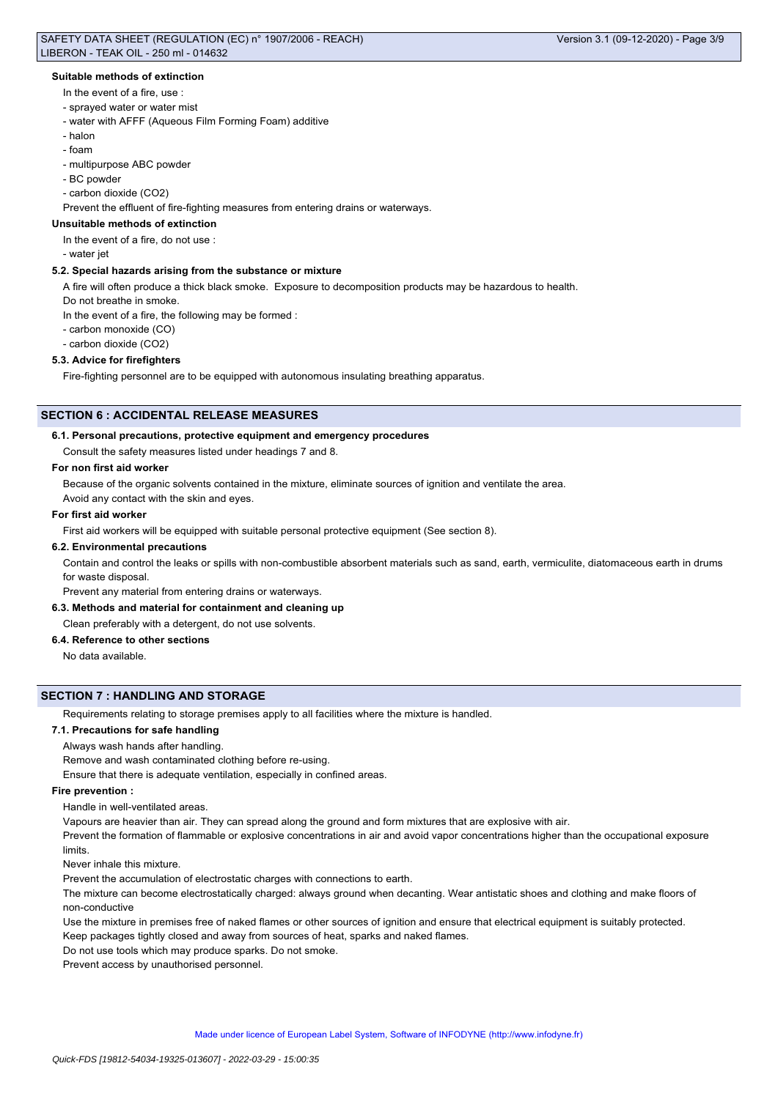# **Suitable methods of extinction**

- In the event of a fire, use :
- sprayed water or water mist
- water with AFFF (Aqueous Film Forming Foam) additive
- halon
- foam
- multipurpose ABC powder
- BC powder
- carbon dioxide (CO2)

Prevent the effluent of fire-fighting measures from entering drains or waterways.

# **Unsuitable methods of extinction**

In the event of a fire, do not use :

- water jet

# **5.2. Special hazards arising from the substance or mixture**

A fire will often produce a thick black smoke. Exposure to decomposition products may be hazardous to health.

Do not breathe in smoke.

In the event of a fire, the following may be formed :

- carbon monoxide (CO)
- carbon dioxide (CO2)

### **5.3. Advice for firefighters**

Fire-fighting personnel are to be equipped with autonomous insulating breathing apparatus.

# **SECTION 6 : ACCIDENTAL RELEASE MEASURES**

# **6.1. Personal precautions, protective equipment and emergency procedures**

Consult the safety measures listed under headings 7 and 8.

# **For non first aid worker**

Because of the organic solvents contained in the mixture, eliminate sources of ignition and ventilate the area.

Avoid any contact with the skin and eyes.

# **For first aid worker**

First aid workers will be equipped with suitable personal protective equipment (See section 8).

# **6.2. Environmental precautions**

Contain and control the leaks or spills with non-combustible absorbent materials such as sand, earth, vermiculite, diatomaceous earth in drums for waste disposal.

Prevent any material from entering drains or waterways.

# **6.3. Methods and material for containment and cleaning up**

Clean preferably with a detergent, do not use solvents.

# **6.4. Reference to other sections**

No data available.

# **SECTION 7 : HANDLING AND STORAGE**

Requirements relating to storage premises apply to all facilities where the mixture is handled.

# **7.1. Precautions for safe handling**

Always wash hands after handling.

Remove and wash contaminated clothing before re-using.

Ensure that there is adequate ventilation, especially in confined areas.

# **Fire prevention :**

Handle in well-ventilated areas.

Vapours are heavier than air. They can spread along the ground and form mixtures that are explosive with air.

Prevent the formation of flammable or explosive concentrations in air and avoid vapor concentrations higher than the occupational exposure limits.

Never inhale this mixture.

Prevent the accumulation of electrostatic charges with connections to earth.

The mixture can become electrostatically charged: always ground when decanting. Wear antistatic shoes and clothing and make floors of non-conductive

Use the mixture in premises free of naked flames or other sources of ignition and ensure that electrical equipment is suitably protected. Keep packages tightly closed and away from sources of heat, sparks and naked flames.

Do not use tools which may produce sparks. Do not smoke.

Prevent access by unauthorised personnel.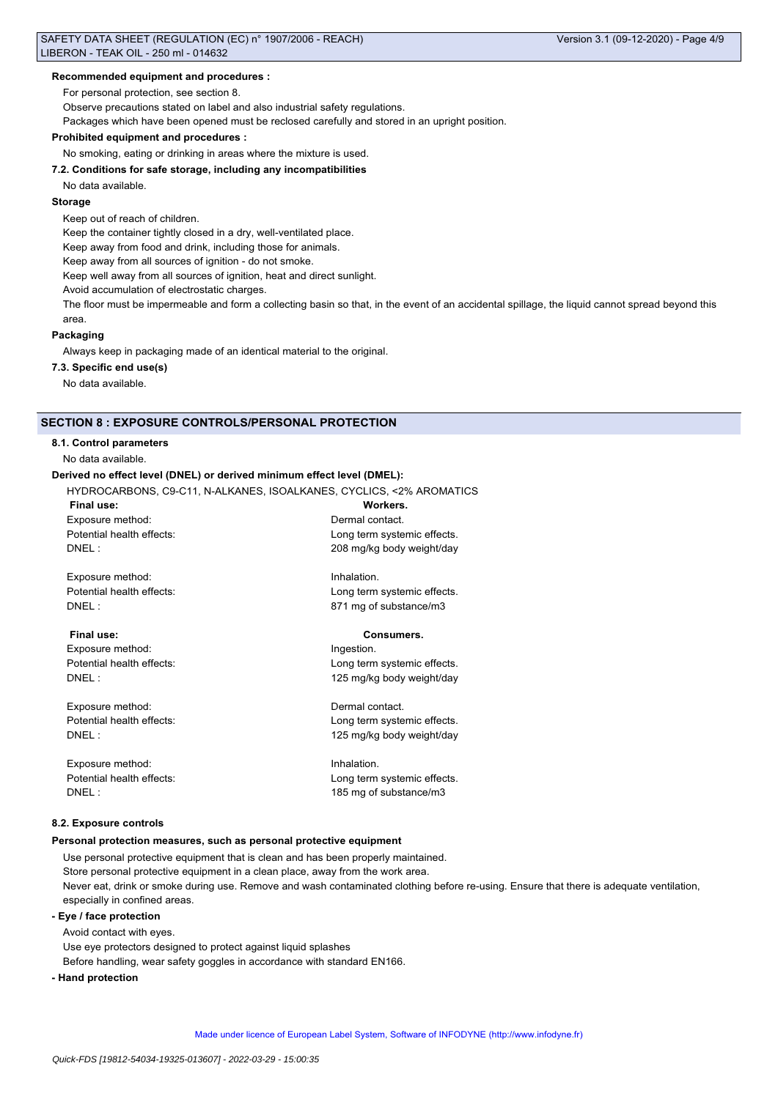For personal protection, see section 8.

Observe precautions stated on label and also industrial safety regulations.

Packages which have been opened must be reclosed carefully and stored in an upright position.

#### **Prohibited equipment and procedures :**

No smoking, eating or drinking in areas where the mixture is used.

# **7.2. Conditions for safe storage, including any incompatibilities**

No data available.

# **Storage**

Keep out of reach of children.

Keep the container tightly closed in a dry, well-ventilated place.

Keep away from food and drink, including those for animals.

Keep away from all sources of ignition - do not smoke.

Keep well away from all sources of ignition, heat and direct sunlight.

Avoid accumulation of electrostatic charges.

The floor must be impermeable and form a collecting basin so that, in the event of an accidental spillage, the liquid cannot spread beyond this area.

# **Packaging**

Always keep in packaging made of an identical material to the original.

# **7.3. Specific end use(s)**

No data available.

# **SECTION 8 : EXPOSURE CONTROLS/PERSONAL PROTECTION**

# **8.1. Control parameters**

No data available.

#### **Derived no effect level (DNEL) or derived minimum effect level (DMEL):**

HYDROCARBONS, C9-C11, N-ALKANES, ISOALKANES, CYCLICS, <2% AROMATICS

| Final use:                |
|---------------------------|
| Exposure method:          |
| Potential health effects: |
| DNEL :                    |

Exposure method: Inhalation. Potential health effects: <br>
Long term systemic effects. DNEL : 871 mg of substance/m3

Exposure method: Ingestion.

Exposure method: Dermal contact.

Exposure method: Inhalation.

# **Final use: Consumers.**

Workers. Dermal contact.

Long term systemic effects. 208 mg/kg body weight/day

Potential health effects:<br>
Long term systemic effects. DNEL : 125 mg/kg body weight/day

Potential health effects: Long term systemic effects. DNEL : 125 mg/kg body weight/day

Potential health effects: Long term systemic effects. DNEL : 185 mg of substance/m3

# **8.2. Exposure controls**

#### **Personal protection measures, such as personal protective equipment**

Use personal protective equipment that is clean and has been properly maintained. Store personal protective equipment in a clean place, away from the work area. Never eat, drink or smoke during use. Remove and wash contaminated clothing before re-using. Ensure that there is adequate ventilation, especially in confined areas.

# **- Eye / face protection**

Avoid contact with eyes. Use eye protectors designed to protect against liquid splashes Before handling, wear safety goggles in accordance with standard EN166.

# **- Hand protection**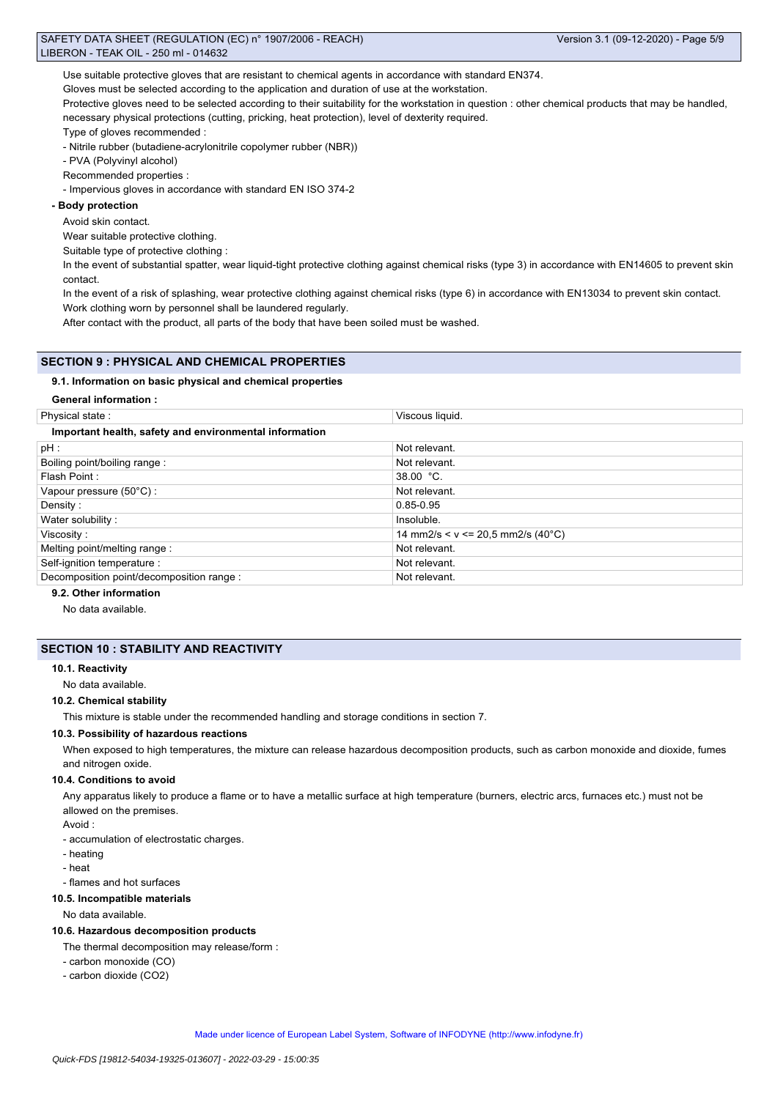Use suitable protective gloves that are resistant to chemical agents in accordance with standard EN374.

Gloves must be selected according to the application and duration of use at the workstation.

Protective gloves need to be selected according to their suitability for the workstation in question : other chemical products that may be handled, necessary physical protections (cutting, pricking, heat protection), level of dexterity required.

Type of gloves recommended :

- Nitrile rubber (butadiene-acrylonitrile copolymer rubber (NBR))

- PVA (Polyvinyl alcohol)

Recommended properties :

- Impervious gloves in accordance with standard EN ISO 374-2

# **- Body protection**

Avoid skin contact.

Wear suitable protective clothing.

Suitable type of protective clothing :

In the event of substantial spatter, wear liquid-tight protective clothing against chemical risks (type 3) in accordance with EN14605 to prevent skin contact.

In the event of a risk of splashing, wear protective clothing against chemical risks (type 6) in accordance with EN13034 to prevent skin contact. Work clothing worn by personnel shall be laundered regularly.

After contact with the product, all parts of the body that have been soiled must be washed.

# **SECTION 9 : PHYSICAL AND CHEMICAL PROPERTIES**

# **9.1. Information on basic physical and chemical properties**

**General information :**

| Physical state:                                        | Viscous liquid.                     |  |  |  |
|--------------------------------------------------------|-------------------------------------|--|--|--|
| Important health, safety and environmental information |                                     |  |  |  |
| $pH$ :                                                 | Not relevant.                       |  |  |  |
| Boiling point/boiling range:                           | Not relevant.                       |  |  |  |
| Flash Point:                                           | $38.00 °C$ .                        |  |  |  |
| Vapour pressure (50°C) :                               | Not relevant.                       |  |  |  |
| Density:                                               | $0.85 - 0.95$                       |  |  |  |
| Water solubility:                                      | Insoluble.                          |  |  |  |
| Viscosity:                                             | 14 mm2/s < $v$ <= 20.5 mm2/s (40°C) |  |  |  |
| Melting point/melting range:                           | Not relevant.                       |  |  |  |
| Self-ignition temperature :                            | Not relevant.                       |  |  |  |
| Decomposition point/decomposition range :              | Not relevant.                       |  |  |  |
|                                                        |                                     |  |  |  |

# **9.2. Other information**

No data available.

# **SECTION 10 : STABILITY AND REACTIVITY**

#### **10.1. Reactivity**

No data available.

# **10.2. Chemical stability**

This mixture is stable under the recommended handling and storage conditions in section 7.

# **10.3. Possibility of hazardous reactions**

When exposed to high temperatures, the mixture can release hazardous decomposition products, such as carbon monoxide and dioxide, fumes and nitrogen oxide.

#### **10.4. Conditions to avoid**

Any apparatus likely to produce a flame or to have a metallic surface at high temperature (burners, electric arcs, furnaces etc.) must not be allowed on the premises.

Avoid :

- accumulation of electrostatic charges.
- heating
- heat
- flames and hot surfaces

# **10.5. Incompatible materials**

#### No data available.

# **10.6. Hazardous decomposition products**

The thermal decomposition may release/form :

- carbon monoxide (CO)
- carbon dioxide (CO2)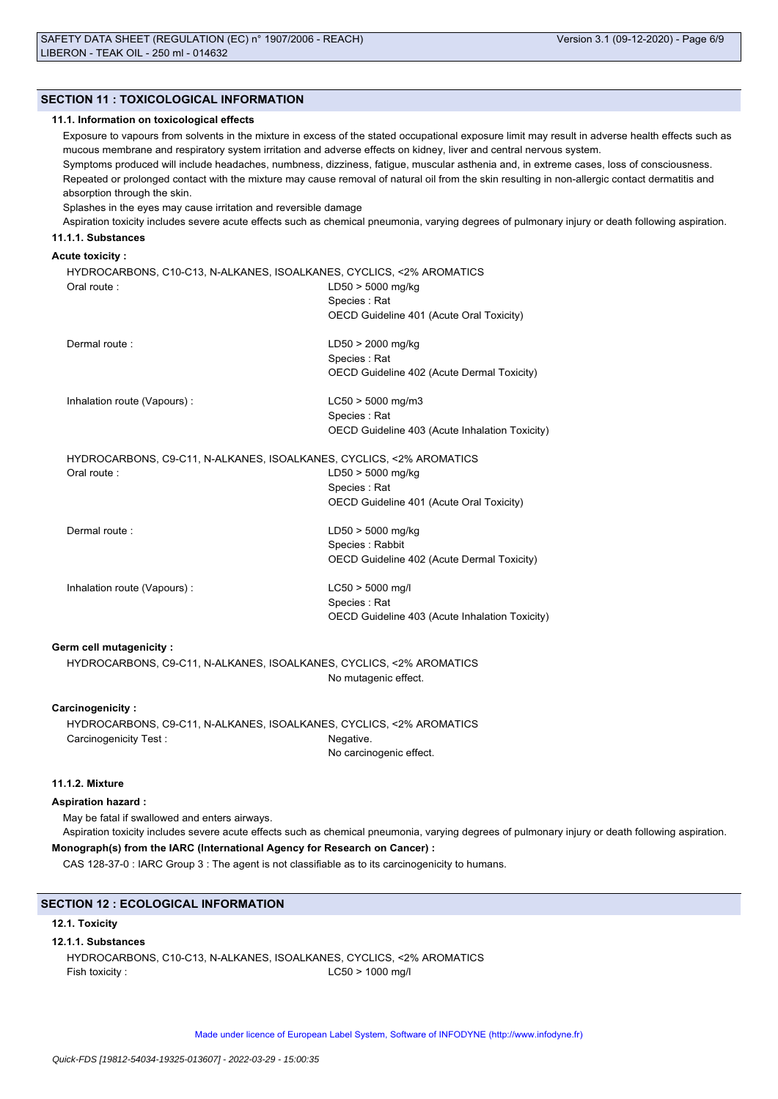# **SECTION 11 : TOXICOLOGICAL INFORMATION**

#### **11.1. Information on toxicological effects**

Exposure to vapours from solvents in the mixture in excess of the stated occupational exposure limit may result in adverse health effects such as mucous membrane and respiratory system irritation and adverse effects on kidney, liver and central nervous system.

Symptoms produced will include headaches, numbness, dizziness, fatigue, muscular asthenia and, in extreme cases, loss of consciousness. Repeated or prolonged contact with the mixture may cause removal of natural oil from the skin resulting in non-allergic contact dermatitis and absorption through the skin.

Splashes in the eyes may cause irritation and reversible damage

Aspiration toxicity includes severe acute effects such as chemical pneumonia, varying degrees of pulmonary injury or death following aspiration.

# **11.1.1. Substances**

# **Acute toxicity :**

| HYDROCARBONS, C10-C13, N-ALKANES, ISOALKANES, CYCLICS, <2% AROMATICS<br>Oral route: | $LD50 > 5000$ mg/kg<br>Species: Rat<br>OECD Guideline 401 (Acute Oral Toxicity)       |
|-------------------------------------------------------------------------------------|---------------------------------------------------------------------------------------|
| Dermal route:                                                                       | LD50 > 2000 mg/kg<br>Species: Rat<br>OECD Guideline 402 (Acute Dermal Toxicity)       |
| Inhalation route (Vapours):                                                         | $LC50 > 5000$ mg/m3<br>Species: Rat<br>OECD Guideline 403 (Acute Inhalation Toxicity) |
| HYDROCARBONS, C9-C11, N-ALKANES, ISOALKANES, CYCLICS, <2% AROMATICS<br>Oral route:  | $LD50 > 5000$ mg/kg<br>Species: Rat<br>OECD Guideline 401 (Acute Oral Toxicity)       |
| Dermal route:                                                                       | $LD50 > 5000$ mg/kg<br>Species: Rabbit<br>OECD Guideline 402 (Acute Dermal Toxicity)  |
| Inhalation route (Vapours):                                                         | $LC50 > 5000$ mg/l<br>Species: Rat<br>OECD Guideline 403 (Acute Inhalation Toxicity)  |

# **Germ cell mutagenicity :**

HYDROCARBONS, C9-C11, N-ALKANES, ISOALKANES, CYCLICS, <2% AROMATICS No mutagenic effect.

# **Carcinogenicity :**

HYDROCARBONS, C9-C11, N-ALKANES, ISOALKANES, CYCLICS, <2% AROMATICS Carcinogenicity Test : Negative. No carcinogenic effect.

# **11.1.2. Mixture**

# **Aspiration hazard :**

May be fatal if swallowed and enters airways.

Aspiration toxicity includes severe acute effects such as chemical pneumonia, varying degrees of pulmonary injury or death following aspiration.

# **Monograph(s) from the IARC (International Agency for Research on Cancer) :**

CAS 128-37-0 : IARC Group 3 : The agent is not classifiable as to its carcinogenicity to humans.

# **SECTION 12 : ECOLOGICAL INFORMATION**

#### **12.1. Toxicity**

#### **12.1.1. Substances**

HYDROCARBONS, C10-C13, N-ALKANES, ISOALKANES, CYCLICS, <2% AROMATICS Fish toxicity : C50 > 1000 mg/l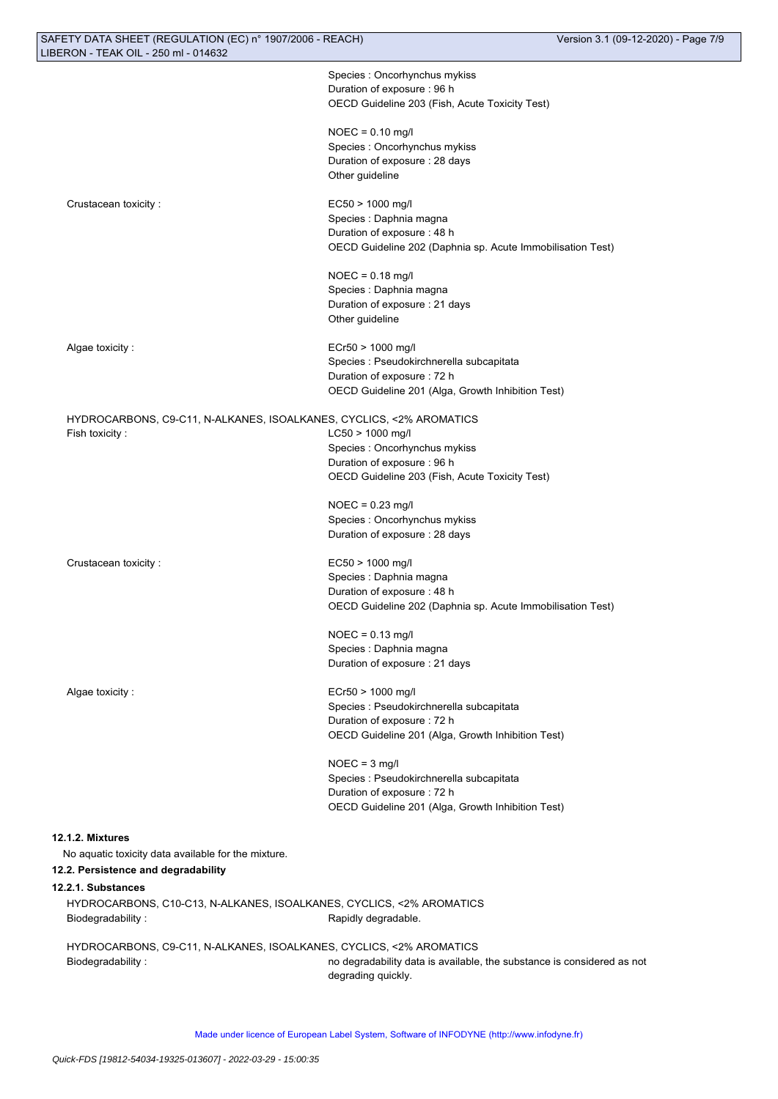| SAFETY DATA SHEET (REGULATION (EC) n° 1907/2006 - REACH)             |                                                                                          | Version 3.1 (09-12-2020) - Page 7/9 |
|----------------------------------------------------------------------|------------------------------------------------------------------------------------------|-------------------------------------|
| LIBERON - TEAK OIL - 250 ml - 014632                                 |                                                                                          |                                     |
|                                                                      | Species : Oncorhynchus mykiss                                                            |                                     |
|                                                                      | Duration of exposure : 96 h                                                              |                                     |
|                                                                      | OECD Guideline 203 (Fish, Acute Toxicity Test)                                           |                                     |
|                                                                      | $NOEC = 0.10$ mg/l                                                                       |                                     |
|                                                                      | Species : Oncorhynchus mykiss                                                            |                                     |
|                                                                      | Duration of exposure : 28 days                                                           |                                     |
|                                                                      | Other guideline                                                                          |                                     |
|                                                                      |                                                                                          |                                     |
| Crustacean toxicity:                                                 | EC50 > 1000 mg/l                                                                         |                                     |
|                                                                      | Species : Daphnia magna                                                                  |                                     |
|                                                                      | Duration of exposure: 48 h<br>OECD Guideline 202 (Daphnia sp. Acute Immobilisation Test) |                                     |
|                                                                      |                                                                                          |                                     |
|                                                                      | $NOEC = 0.18$ mg/l                                                                       |                                     |
|                                                                      | Species : Daphnia magna                                                                  |                                     |
|                                                                      | Duration of exposure : 21 days                                                           |                                     |
|                                                                      | Other guideline                                                                          |                                     |
| Algae toxicity:                                                      | ECr50 > 1000 mg/l                                                                        |                                     |
|                                                                      | Species : Pseudokirchnerella subcapitata                                                 |                                     |
|                                                                      | Duration of exposure : 72 h                                                              |                                     |
|                                                                      | OECD Guideline 201 (Alga, Growth Inhibition Test)                                        |                                     |
|                                                                      |                                                                                          |                                     |
| HYDROCARBONS, C9-C11, N-ALKANES, ISOALKANES, CYCLICS, <2% AROMATICS  |                                                                                          |                                     |
| Fish toxicity:                                                       | LC50 > 1000 mg/l                                                                         |                                     |
|                                                                      | Species : Oncorhynchus mykiss                                                            |                                     |
|                                                                      | Duration of exposure : 96 h                                                              |                                     |
|                                                                      | OECD Guideline 203 (Fish, Acute Toxicity Test)                                           |                                     |
|                                                                      | $NOEC = 0.23$ mg/l                                                                       |                                     |
|                                                                      | Species : Oncorhynchus mykiss                                                            |                                     |
|                                                                      | Duration of exposure: 28 days                                                            |                                     |
| Crustacean toxicity:                                                 | EC50 > 1000 mg/l                                                                         |                                     |
|                                                                      | Species : Daphnia magna                                                                  |                                     |
|                                                                      | Duration of exposure: 48 h                                                               |                                     |
|                                                                      | OECD Guideline 202 (Daphnia sp. Acute Immobilisation Test)                               |                                     |
|                                                                      |                                                                                          |                                     |
|                                                                      | $NOEC = 0.13$ mg/l                                                                       |                                     |
|                                                                      | Species : Daphnia magna                                                                  |                                     |
|                                                                      | Duration of exposure : 21 days                                                           |                                     |
| Algae toxicity:                                                      | ECr50 > 1000 mg/l                                                                        |                                     |
|                                                                      | Species : Pseudokirchnerella subcapitata                                                 |                                     |
|                                                                      | Duration of exposure : 72 h                                                              |                                     |
|                                                                      | OECD Guideline 201 (Alga, Growth Inhibition Test)                                        |                                     |
|                                                                      | $NOEC = 3$ mg/l                                                                          |                                     |
|                                                                      | Species : Pseudokirchnerella subcapitata                                                 |                                     |
|                                                                      | Duration of exposure : 72 h                                                              |                                     |
|                                                                      | OECD Guideline 201 (Alga, Growth Inhibition Test)                                        |                                     |
|                                                                      |                                                                                          |                                     |
| 12.1.2. Mixtures                                                     |                                                                                          |                                     |
| No aquatic toxicity data available for the mixture.                  |                                                                                          |                                     |
| 12.2. Persistence and degradability                                  |                                                                                          |                                     |
| 12.2.1. Substances                                                   |                                                                                          |                                     |
| HYDROCARBONS, C10-C13, N-ALKANES, ISOALKANES, CYCLICS, <2% AROMATICS |                                                                                          |                                     |
| Biodegradability:                                                    | Rapidly degradable.                                                                      |                                     |
| HYDROCARBONS, C9-C11, N-ALKANES, ISOALKANES, CYCLICS, <2% AROMATICS  |                                                                                          |                                     |
| Biodegradability:                                                    | no degradability data is available, the substance is considered as not                   |                                     |
|                                                                      | degrading quickly.                                                                       |                                     |
|                                                                      |                                                                                          |                                     |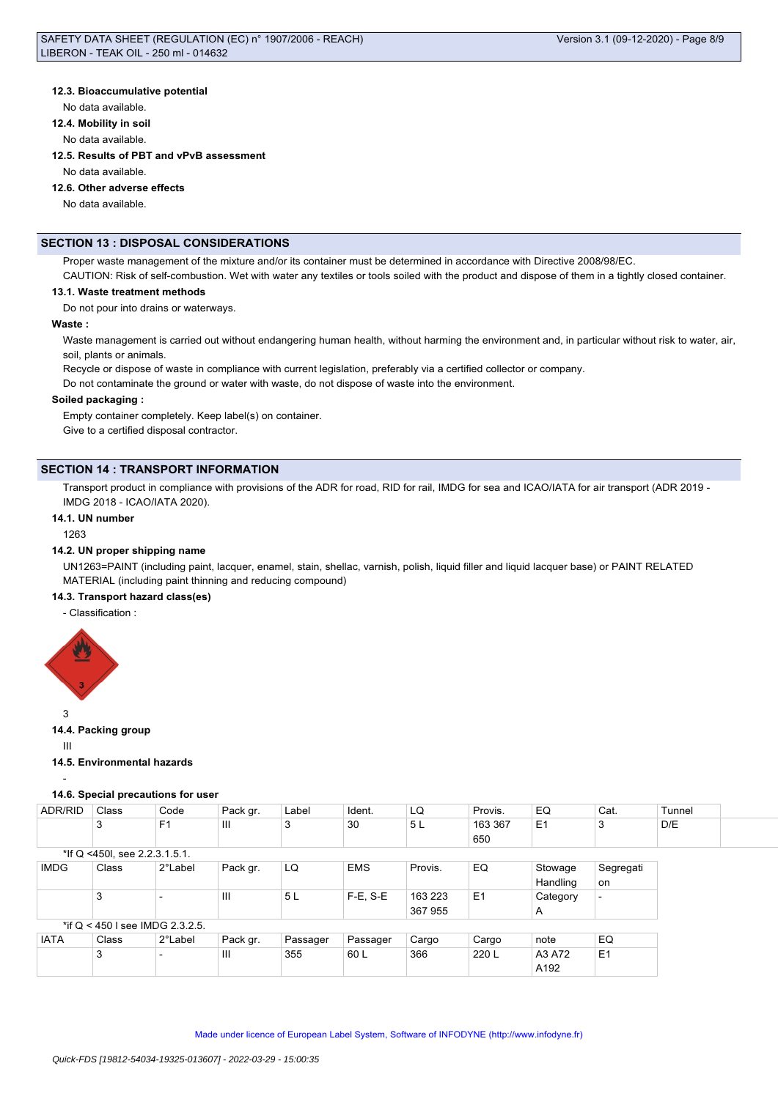# **12.3. Bioaccumulative potential**

No data available.

**12.4. Mobility in soil**

No data available.

**12.5. Results of PBT and vPvB assessment**

No data available.

#### **12.6. Other adverse effects**

No data available.

# **SECTION 13 : DISPOSAL CONSIDERATIONS**

Proper waste management of the mixture and/or its container must be determined in accordance with Directive 2008/98/EC.

CAUTION: Risk of self-combustion. Wet with water any textiles or tools soiled with the product and dispose of them in a tightly closed container.

# **13.1. Waste treatment methods**

Do not pour into drains or waterways.

# **Waste :**

Waste management is carried out without endangering human health, without harming the environment and, in particular without risk to water, air, soil, plants or animals.

Recycle or dispose of waste in compliance with current legislation, preferably via a certified collector or company.

Do not contaminate the ground or water with waste, do not dispose of waste into the environment.

#### **Soiled packaging :**

Empty container completely. Keep label(s) on container. Give to a certified disposal contractor.

# **SECTION 14 : TRANSPORT INFORMATION**

Transport product in compliance with provisions of the ADR for road, RID for rail, IMDG for sea and ICAO/IATA for air transport (ADR 2019 - IMDG 2018 - ICAO/IATA 2020).

#### **14.1. UN number**

1263

# **14.2. UN proper shipping name**

UN1263=PAINT (including paint, lacquer, enamel, stain, shellac, varnish, polish, liquid filler and liquid lacquer base) or PAINT RELATED MATERIAL (including paint thinning and reducing compound)

# **14.3. Transport hazard class(es)**

- Classification :



3

# **14.4. Packing group**

III

#### **14.5. Environmental hazards**

-

# **14.6. Special precautions for user**

| ADR/RID     | Class                             | Code           | Pack gr.       | Label    | Ident.     | LQ      | Provis.        | EQ             | Cat.                     | Tunnel |  |
|-------------|-----------------------------------|----------------|----------------|----------|------------|---------|----------------|----------------|--------------------------|--------|--|
|             | 3                                 | F <sub>1</sub> | Ш              | 3        | 30         | 5 L     | 163 367<br>650 | E <sub>1</sub> | 3                        | D/E    |  |
|             | *If Q <450l, see 2.2.3.1.5.1.     |                |                |          |            |         |                |                |                          |        |  |
| <b>IMDG</b> | Class                             | 2°Label        | Pack gr.       | LQ       | <b>EMS</b> | Provis. | EQ             | Stowage        | Segregati                |        |  |
|             |                                   |                |                |          |            |         |                | Handling       | on                       |        |  |
|             | 3                                 |                | $\mathbf{III}$ | 5L       | $F-E. S-E$ | 163 223 | E <sub>1</sub> | Category       | $\overline{\phantom{0}}$ |        |  |
|             |                                   |                |                |          |            | 367 955 |                | A              |                          |        |  |
|             | *if $Q$ < 450   see IMDG 2.3.2.5. |                |                |          |            |         |                |                |                          |        |  |
| <b>IATA</b> | Class                             | 2°Label        | Pack gr.       | Passager | Passager   | Cargo   | Cargo          | note           | EQ                       |        |  |

A192

3 |- |III |355 |60 L |366 |220 L |A3 A72 |E1